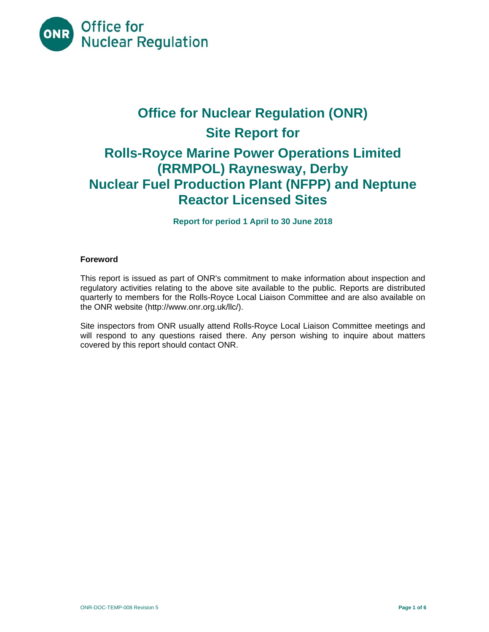

# **Office for Nuclear Regulation (ONR) Site Report for Rolls-Royce Marine Power Operations Limited (RRMPOL) Raynesway, Derby Nuclear Fuel Production Plant (NFPP) and Neptune Reactor Licensed Sites**

**Report for period 1 April to 30 June 2018** 

# **Foreword**

This report is issued as part of ONR's commitment to make information about inspection and regulatory activities relating to the above site available to the public. Reports are distributed quarterly to members for the Rolls-Royce Local Liaison Committee and are also available on the ONR website (http://www.onr.org.uk/llc/).

Site inspectors from ONR usually attend Rolls-Royce Local Liaison Committee meetings and will respond to any questions raised there. Any person wishing to inquire about matters covered by this report should contact ONR.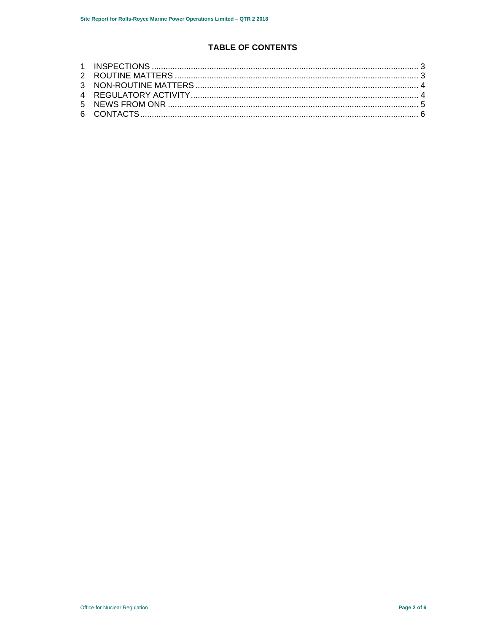# **TABLE OF CONTENTS**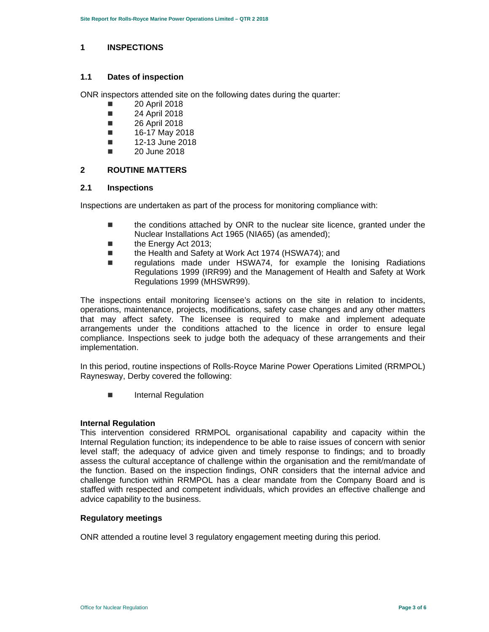### **1 INSPECTIONS**

### **1.1 Dates of inspection**

ONR inspectors attended site on the following dates during the quarter:

- **20 April 2018**
- **24 April 2018**
- **26 April 2018**
- $\blacksquare$  16-17 May 2018
- $\blacksquare$  12-13 June 2018
- 20 June 2018

#### **2 ROUTINE MATTERS**

#### **2.1 Inspections**

Inspections are undertaken as part of the process for monitoring compliance with:

- the conditions attached by ONR to the nuclear site licence, granted under the Nuclear Installations Act 1965 (NIA65) (as amended);
- the Energy Act 2013;
- the Health and Safety at Work Act 1974 (HSWA74); and
- regulations made under HSWA74, for example the lonising Radiations Regulations 1999 (IRR99) and the Management of Health and Safety at Work Regulations 1999 (MHSWR99).

The inspections entail monitoring licensee's actions on the site in relation to incidents, operations, maintenance, projects, modifications, safety case changes and any other matters that may affect safety. The licensee is required to make and implement adequate arrangements under the conditions attached to the licence in order to ensure legal compliance. Inspections seek to judge both the adequacy of these arrangements and their implementation.

In this period, routine inspections of Rolls-Royce Marine Power Operations Limited (RRMPOL) Raynesway, Derby covered the following:

**Internal Regulation** 

# **Internal Regulation**

This intervention considered RRMPOL organisational capability and capacity within the Internal Regulation function; its independence to be able to raise issues of concern with senior level staff; the adequacy of advice given and timely response to findings; and to broadly assess the cultural acceptance of challenge within the organisation and the remit/mandate of the function. Based on the inspection findings, ONR considers that the internal advice and challenge function within RRMPOL has a clear mandate from the Company Board and is staffed with respected and competent individuals, which provides an effective challenge and advice capability to the business.

# **Regulatory meetings**

ONR attended a routine level 3 regulatory engagement meeting during this period.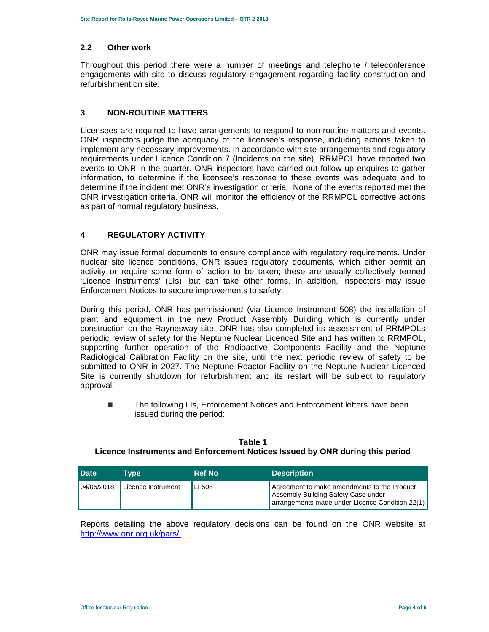#### **2.2 Other work**

Throughout this period there were a number of meetings and telephone / teleconference engagements with site to discuss regulatory engagement regarding facility construction and refurbishment on site.

# **3 NON-ROUTINE MATTERS**

Licensees are required to have arrangements to respond to non-routine matters and events. ONR inspectors judge the adequacy of the licensee's response, including actions taken to implement any necessary improvements. In accordance with site arrangements and regulatory requirements under Licence Condition 7 (Incidents on the site), RRMPOL have reported two events to ONR in the quarter. ONR inspectors have carried out follow up enquires to gather information, to determine if the licensee's response to these events was adequate and to determine if the incident met ONR's investigation criteria. None of the events reported met the ONR investigation criteria. ONR will monitor the efficiency of the RRMPOL corrective actions as part of normal regulatory business.

# **4 REGULATORY ACTIVITY**

ONR may issue formal documents to ensure compliance with regulatory requirements. Under nuclear site licence conditions, ONR issues regulatory documents, which either permit an activity or require some form of action to be taken; these are usually collectively termed 'Licence Instruments' (LIs), but can take other forms. In addition, inspectors may issue Enforcement Notices to secure improvements to safety.

During this period, ONR has permissioned (via Licence Instrument 508) the installation of plant and equipment in the new Product Assembly Building which is currently under construction on the Raynesway site. ONR has also completed its assessment of RRMPOLs periodic review of safety for the Neptune Nuclear Licenced Site and has written to RRMPOL, supporting further operation of the Radioactive Components Facility and the Neptune Radiological Calibration Facility on the site, until the next periodic review of safety to be submitted to ONR in 2027. The Neptune Reactor Facility on the Neptune Nuclear Licenced Site is currently shutdown for refurbishment and its restart will be subject to regulatory approval.

■ The following LIs, Enforcement Notices and Enforcement letters have been issued during the period:

| <b>Date</b> | Tvpe               | <b>Ref No</b> | <b>Description</b>                                                                                                                    |
|-------------|--------------------|---------------|---------------------------------------------------------------------------------------------------------------------------------------|
| 04/05/2018  | Licence Instrument | LI 508        | Agreement to make amendments to the Product<br>Assembly Building Safety Case under<br>arrangements made under Licence Condition 22(1) |

**Table 1 Licence Instruments and Enforcement Notices Issued by ONR during this period** 

Reports detailing the above regulatory decisions can be found on the ONR website at http://www.onr.org.uk/pars/.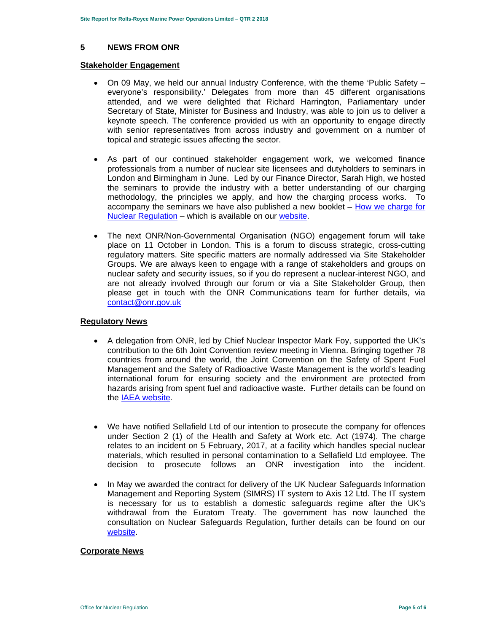#### **5 NEWS FROM ONR**

#### **Stakeholder Engagement**

- On 09 May, we held our annual Industry Conference, with the theme 'Public Safety everyone's responsibility.' Delegates from more than 45 different organisations attended, and we were delighted that Richard Harrington, Parliamentary under Secretary of State, Minister for Business and Industry, was able to join us to deliver a keynote speech. The conference provided us with an opportunity to engage directly with senior representatives from across industry and government on a number of topical and strategic issues affecting the sector.
- As part of our continued stakeholder engagement work, we welcomed finance professionals from a number of nuclear site licensees and dutyholders to seminars in London and Birmingham in June. Led by our Finance Director, Sarah High, we hosted the seminars to provide the industry with a better understanding of our charging methodology, the principles we apply, and how the charging process works. To accompany the seminars we have also published a new booklet  $-$  How we charge for Nuclear Regulation – which is available on our website.
- The next ONR/Non-Governmental Organisation (NGO) engagement forum will take place on 11 October in London. This is a forum to discuss strategic, cross-cutting regulatory matters. Site specific matters are normally addressed via Site Stakeholder Groups. We are always keen to engage with a range of stakeholders and groups on nuclear safety and security issues, so if you do represent a nuclear-interest NGO, and are not already involved through our forum or via a Site Stakeholder Group, then please get in touch with the ONR Communications team for further details, via contact@onr.gov.uk

#### **Regulatory News**

- A delegation from ONR, led by Chief Nuclear Inspector Mark Foy, supported the UK's contribution to the 6th Joint Convention review meeting in Vienna. Bringing together 78 countries from around the world, the Joint Convention on the Safety of Spent Fuel Management and the Safety of Radioactive Waste Management is the world's leading international forum for ensuring society and the environment are protected from hazards arising from spent fuel and radioactive waste. Further details can be found on the IAEA website.
- We have notified Sellafield Ltd of our intention to prosecute the company for offences under Section 2 (1) of the Health and Safety at Work etc. Act (1974). The charge relates to an incident on 5 February, 2017, at a facility which handles special nuclear materials, which resulted in personal contamination to a Sellafield Ltd employee. The decision to prosecute follows an ONR investigation into the incident.
- In May we awarded the contract for delivery of the UK Nuclear Safeguards Information Management and Reporting System (SIMRS) IT system to Axis 12 Ltd. The IT system is necessary for us to establish a domestic safeguards regime after the UK's withdrawal from the Euratom Treaty. The government has now launched the consultation on Nuclear Safeguards Regulation, further details can be found on our website.

#### **Corporate News**